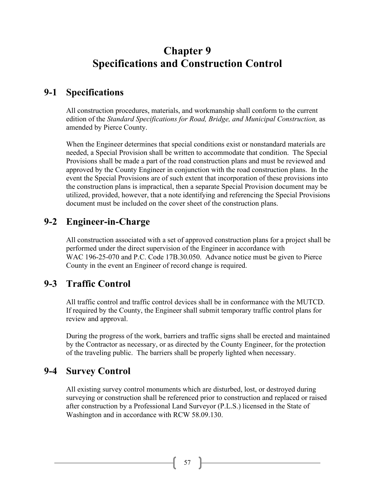# **Chapter 9 Specifications and Construction Control**

### **9-1 Specifications**

All construction procedures, materials, and workmanship shall conform to the current edition of the *Standard Specifications for Road, Bridge, and Municipal Construction,* as amended by Pierce County.

When the Engineer determines that special conditions exist or nonstandard materials are needed, a Special Provision shall be written to accommodate that condition. The Special Provisions shall be made a part of the road construction plans and must be reviewed and approved by the County Engineer in conjunction with the road construction plans. In the event the Special Provisions are of such extent that incorporation of these provisions into the construction plans is impractical, then a separate Special Provision document may be utilized, provided, however, that a note identifying and referencing the Special Provisions document must be included on the cover sheet of the construction plans.

#### **9-2 Engineer-in-Charge**

All construction associated with a set of approved construction plans for a project shall be performed under the direct supervision of the Engineer in accordance with WAC 196-25-070 and P.C. Code 17B.30.050. Advance notice must be given to Pierce County in the event an Engineer of record change is required.

#### **9-3 Traffic Control**

All traffic control and traffic control devices shall be in conformance with the MUTCD. If required by the County, the Engineer shall submit temporary traffic control plans for review and approval.

During the progress of the work, barriers and traffic signs shall be erected and maintained by the Contractor as necessary, or as directed by the County Engineer, for the protection of the traveling public. The barriers shall be properly lighted when necessary.

#### **9-4 Survey Control**

All existing survey control monuments which are disturbed, lost, or destroyed during surveying or construction shall be referenced prior to construction and replaced or raised after construction by a Professional Land Surveyor (P.L.S.) licensed in the State of Washington and in accordance with RCW 58.09.130.

 $57$